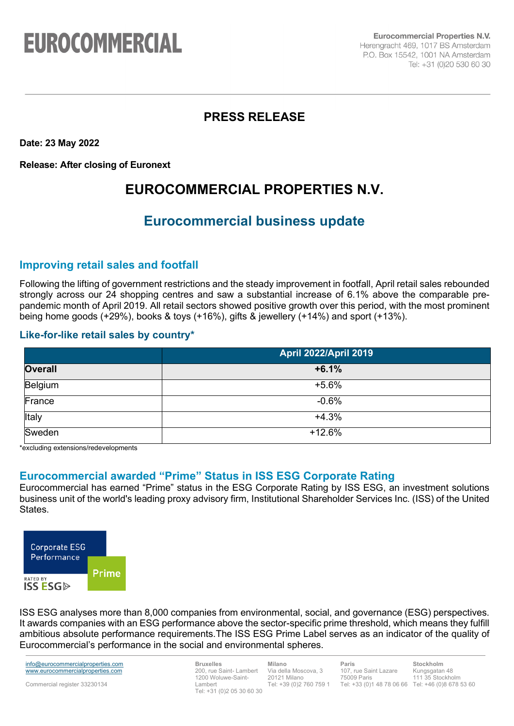# **EUROCOMMERCIAL**

**Eurocommercial Properties N.V.** Herengracht 469, 1017 BS Amsterdam P.O. Box 15542, 1001 NA Amsterdam Tel: +31 (0)20 530 60 30

## **PRESS RELEASE**

**Date: 23 May 2022**

**Release: After closing of Euronext**

# **EUROCOMMERCIAL PROPERTIES N.V.**

# **Eurocommercial business update**

### **Improving retail sales and footfall**

Following the lifting of government restrictions and the steady improvement in footfall, April retail sales rebounded strongly across our 24 shopping centres and saw a substantial increase of 6.1% above the comparable prepandemic month of April 2019. All retail sectors showed positive growth over this period, with the most prominent being home goods (+29%), books & toys (+16%), gifts & jewellery (+14%) and sport (+13%).

#### **Like-for-like retail sales by country\***

|                | <b>April 2022/April 2019</b> |
|----------------|------------------------------|
| <b>Overall</b> | $+6.1%$                      |
| Belgium        | $+5.6%$                      |
| France         | $-0.6%$                      |
| Italy          | $+4.3%$                      |
| Sweden         | $+12.6%$                     |

\*excluding extensions/redevelopments

### **Eurocommercial awarded "Prime" Status in ISS ESG Corporate Rating**

Eurocommercial has earned "Prime" status in the ESG Corporate Rating by ISS ESG, an investment solutions business unit of the world's leading proxy advisory firm, Institutional Shareholder Services Inc. (ISS) of the United States.

| <b>Corporate ESG</b><br>Performance                          |       |
|--------------------------------------------------------------|-------|
|                                                              | Prime |
| <b>RATED BY</b><br><b>ISS ESG<math>\triangleright</math></b> |       |

ISS ESG analyses more than 8,000 companies from environmental, social, and governance (ESG) perspectives. It awards companies with an ESG performance above the sector-specific prime threshold, which means they fulfill ambitious absolute performance requirements.The ISS ESG Prime Label serves as an indicator of the quality of Eurocommercial's performance in the social and environmental spheres.

info@eurocommercialproperties.com www.eurocommercialproperties.com

Commercial register 33230134

**Bruxelles** 200, rue Saint- Lambert 1200 Woluwe-Saint-Lambert Tel: +31 (0)2 05 30 60 30

**Milano** Via della Moscova, 3 20121 Milano Tel: +39 (0)2 760 759 1 **Paris** 107, rue Saint Lazare 75009 Paris Tel: +33 (0)1 48 78 06 66 Tel: +46 (0)8 678 53 60

**Stockholm** Kungsgatan 48 111 35 Stockholm